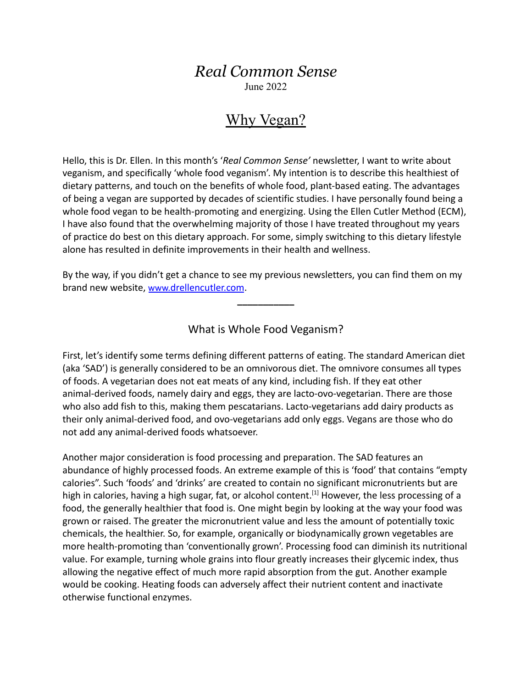## *Real Common Sense*

June 2022

## Why Vegan?

Hello, this is Dr. Ellen. In this month's '*Real Common Sense'* newsletter, I want to write about veganism, and specifically 'whole food veganism'. My intention is to describe this healthiest of dietary patterns, and touch on the benefits of whole food, plant-based eating. The advantages of being a vegan are supported by decades of scientific studies. I have personally found being a whole food vegan to be health-promoting and energizing. Using the Ellen Cutler Method (ECM), I have also found that the overwhelming majority of those I have treated throughout my years of practice do best on this dietary approach. For some, simply switching to this dietary lifestyle alone has resulted in definite improvements in their health and wellness.

By the way, if you didn't get a chance to see my previous newsletters, you can find them on my brand new website, www.[drellencutler.com](http://www.drellencutler.com).

What is Whole Food Veganism?

**\_\_\_\_\_\_\_\_\_\_\_**

First, let's identify some terms defining different patterns of eating. The standard American diet (aka 'SAD') is generally considered to be an omnivorous diet. The omnivore consumes all types of foods. A vegetarian does not eat meats of any kind, including fish. If they eat other animal-derived foods, namely dairy and eggs, they are lacto-ovo-vegetarian. There are those who also add fish to this, making them pescatarians. Lacto-vegetarians add dairy products as their only animal-derived food, and ovo-vegetarians add only eggs. Vegans are those who do not add any animal-derived foods whatsoever.

Another major consideration is food processing and preparation. The SAD features an abundance of highly processed foods. An extreme example of this is 'food' that contains "empty calories". Such 'foods' and 'drinks' are created to contain no significant micronutrients but are high in calories, having a high sugar, fat, or alcohol content.<sup>[1]</sup> However, the less processing of a food, the generally healthier that food is. One might begin by looking at the way your food was grown or raised. The greater the micronutrient value and less the amount of potentially toxic chemicals, the healthier. So, for example, organically or biodynamically grown vegetables are more health-promoting than 'conventionally grown'. Processing food can diminish its nutritional value. For example, turning whole grains into flour greatly increases their glycemic index, thus allowing the negative effect of much more rapid absorption from the gut. Another example would be cooking. Heating foods can adversely affect their nutrient content and inactivate otherwise functional enzymes.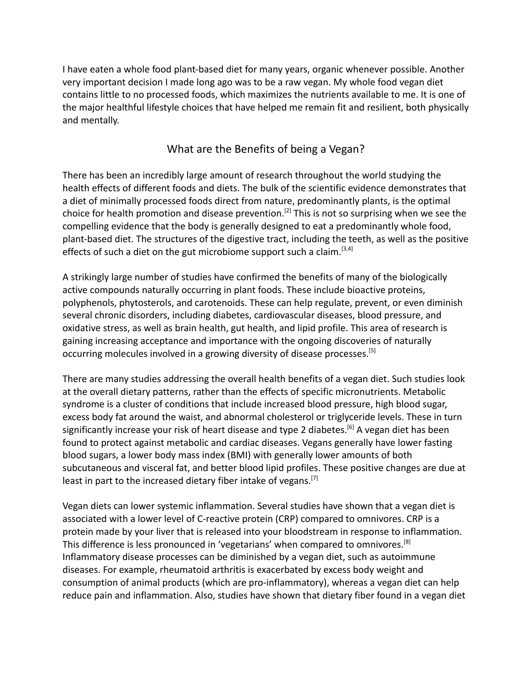I have eaten a whole food plant-based diet for many years, organic whenever possible. Another very important decision I made long ago was to be a raw vegan. My whole food vegan diet contains little to no processed foods, which maximizes the nutrients available to me. It is one of the major healthful lifestyle choices that have helped me remain fit and resilient, both physically and mentally.

## What are the Benefits of being a Vegan?

There has been an incredibly large amount of research throughout the world studying the health effects of different foods and diets. The bulk of the scientific evidence demonstrates that a diet of minimally processed foods direct from nature, predominantly plants, is the optimal choice for health promotion and disease prevention.<sup>[2]</sup> This is not so surprising when we see the compelling evidence that the body is generally designed to eat a predominantly whole food, plant-based diet. The structures of the digestive tract, including the teeth, as well as the positive effects of such a diet on the gut microbiome support such a claim.<sup>[3,4]</sup>

A strikingly large number of studies have confirmed the benefits of many of the biologically active compounds naturally occurring in plant foods. These include bioactive proteins, polyphenols, phytosterols, and carotenoids. These can help regulate, prevent, or even diminish several chronic disorders, including diabetes, cardiovascular diseases, blood pressure, and oxidative stress, as well as brain health, gut health, and lipid profile. This area of research is gaining increasing acceptance and importance with the ongoing discoveries of naturally occurring molecules involved in a growing diversity of disease processes.<sup>[5]</sup>

There are many studies addressing the overall health benefits of a vegan diet. Such studies look at the overall dietary patterns, rather than the effects of specific micronutrients. Metabolic syndrome is a cluster of conditions that include increased blood pressure, high blood sugar, excess body fat around the waist, and abnormal cholesterol or triglyceride levels. These in turn significantly increase your risk of heart disease and type 2 diabetes.<sup>[6]</sup> A vegan diet has been found to protect against metabolic and cardiac diseases. Vegans generally have lower fasting blood sugars, a lower body mass index (BMI) with generally lower amounts of both subcutaneous and visceral fat, and better blood lipid profiles. These positive changes are due at least in part to the increased dietary fiber intake of vegans.<sup>[7]</sup>

Vegan diets can lower systemic inflammation. Several studies have shown that a vegan diet is associated with a lower level of C-reactive protein (CRP) compared to omnivores. CRP is a protein made by your liver that is released into your bloodstream in response to inflammation. This difference is less pronounced in 'vegetarians' when compared to omnivores.[8] Inflammatory disease processes can be diminished by a vegan diet, such as autoimmune diseases. For example, rheumatoid arthritis is exacerbated by excess body weight and consumption of animal products (which are pro-inflammatory), whereas a vegan diet can help reduce pain and inflammation. Also, studies have shown that dietary fiber found in a vegan diet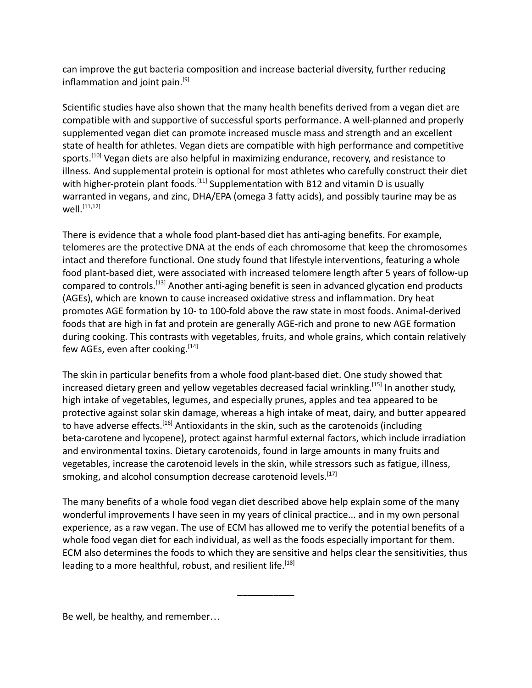can improve the gut bacteria composition and increase bacterial diversity, further reducing inflammation and joint pain.<sup>[9]</sup>

Scientific studies have also shown that the many health benefits derived from a vegan diet are compatible with and supportive of successful sports performance. A well-planned and properly supplemented vegan diet can promote increased muscle mass and strength and an excellent state of health for athletes. Vegan diets are compatible with high performance and competitive sports.<sup>[10]</sup> Vegan diets are also helpful in maximizing endurance, recovery, and resistance to illness. And supplemental protein is optional for most athletes who carefully construct their diet with higher-protein plant foods.<sup>[11]</sup> Supplementation with B12 and vitamin D is usually warranted in vegans, and zinc, DHA/EPA (omega 3 fatty acids), and possibly taurine may be as well.[11,12]

There is evidence that a whole food plant-based diet has anti-aging benefits. For example, telomeres are the protective DNA at the ends of each chromosome that keep the chromosomes intact and therefore functional. One study found that lifestyle interventions, featuring a whole food plant-based diet, were associated with increased telomere length after 5 years of follow-up compared to controls.[13] Another anti-aging benefit is seen in advanced glycation end products (AGEs), which are known to cause increased oxidative stress and inflammation. Dry heat promotes AGE formation by 10- to 100-fold above the raw state in most foods. Animal-derived foods that are high in fat and protein are generally AGE-rich and prone to new AGE formation during cooking. This contrasts with vegetables, fruits, and whole grains, which contain relatively few AGEs, even after cooking.  $[14]$ 

The skin in particular benefits from a whole food plant-based diet. One study showed that increased dietary green and yellow vegetables decreased facial wrinkling.<sup>[15]</sup> In another study, high intake of vegetables, legumes, and especially prunes, apples and tea appeared to be protective against solar skin damage, whereas a high intake of meat, dairy, and butter appeared to have adverse effects.<sup>[16]</sup> Antioxidants in the skin, such as the carotenoids (including beta-carotene and lycopene), protect against harmful external factors, which include irradiation and environmental toxins. Dietary carotenoids, found in large amounts in many fruits and vegetables, increase the carotenoid levels in the skin, while stressors such as fatigue, illness, smoking, and alcohol consumption decrease carotenoid levels.<sup>[17]</sup>

The many benefits of a whole food vegan diet described above help explain some of the many wonderful improvements I have seen in my years of clinical practice... and in my own personal experience, as a raw vegan. The use of ECM has allowed me to verify the potential benefits of a whole food vegan diet for each individual, as well as the foods especially important for them. ECM also determines the foods to which they are sensitive and helps clear the sensitivities, thus leading to a more healthful, robust, and resilient life.<sup>[18]</sup>

\_\_\_\_\_\_\_\_\_\_\_

Be well, be healthy, and remember…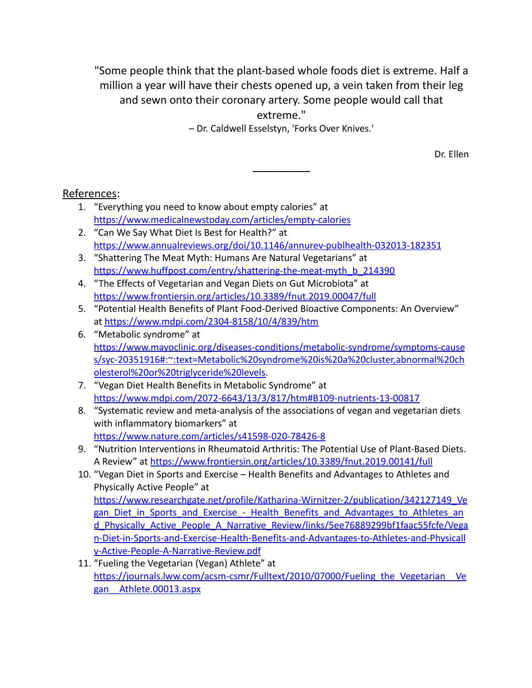"Some people think that the plant-based whole foods diet is extreme. Half a million a year will have their chests opened up, a vein taken from their leg and sewn onto their coronary artery. Some people would call that extreme."

– Dr. Caldwell Esselstyn, 'Forks Over Knives.'

**\_\_\_\_\_\_\_\_\_\_\_**

Dr. Ellen

## References:

- 1. "Everything you need to know about empty calories" at <https://www.medicalnewstoday.com/articles/empty-calories>
- 2. "Can We Say What Diet Is Best for Health?" at <https://www.annualreviews.org/doi/10.1146/annurev-publhealth-032013-182351>
- 3. "Shattering The Meat Myth: Humans Are Natural Vegetarians" at [https://www.huffpost.com/entry/shattering-the-meat-myth\\_b\\_214390](https://www.huffpost.com/entry/shattering-the-meat-myth_b_214390)
- 4. "The Effects of Vegetarian and Vegan Diets on Gut Microbiota" at <https://www.frontiersin.org/articles/10.3389/fnut.2019.00047/full>
- 5. "Potential Health Benefits of Plant Food-Derived Bioactive Components: An Overview" at <https://www.mdpi.com/2304-8158/10/4/839/htm>
- 6. ["Metabolic syndrome](https://www.mayoclinic.org/diseases-conditions/metabolic-syndrome/symptoms-causes/syc-20351916)" at [https://www.mayoclinic.org/diseases-conditions/metabolic-syndrome/symptoms-cause](https://www.mayoclinic.org/diseases-conditions/metabolic-syndrome/symptoms-causes/syc-20351916#:~:text=Metabolic%20syndrome%20is%20a%20cluster,abnormal%20cholesterol%20or%20triglyceride%20levels) [s/syc-20351916#:~:text=Metabolic%20syndrome%20is%20a%20cluster,abnormal%20ch](https://www.mayoclinic.org/diseases-conditions/metabolic-syndrome/symptoms-causes/syc-20351916#:~:text=Metabolic%20syndrome%20is%20a%20cluster,abnormal%20cholesterol%20or%20triglyceride%20levels) [olesterol%20or%20triglyceride%20levels.](https://www.mayoclinic.org/diseases-conditions/metabolic-syndrome/symptoms-causes/syc-20351916#:~:text=Metabolic%20syndrome%20is%20a%20cluster,abnormal%20cholesterol%20or%20triglyceride%20levels)
- 7. "Vegan Diet Health Benefits in Metabolic Syndrome" at <https://www.mdpi.com/2072-6643/13/3/817/htm#B109-nutrients-13-00817>
- 8. "Systematic review and meta-analysis of the associations of vegan and vegetarian diets with inflammatory biomarkers" at <https://www.nature.com/articles/s41598-020-78426-8>
- 9. "Nutrition Interventions in Rheumatoid Arthritis: The Potential Use of Plant-Based Diets. A Review" at <https://www.frontiersin.org/articles/10.3389/fnut.2019.00141/full>
- 10. "Vegan Diet in Sports and Exercise Health Benefits and Advantages to Athletes and Physically Active People" at [https://www.researchgate.net/profile/Katharina-Wirnitzer-2/publication/342127149\\_Ve](https://www.researchgate.net/profile/Katharina-Wirnitzer-2/publication/342127149_Vegan_Diet_in_Sports_and_Exercise_-_Health_Benefits_and_Advantages_to_Athletes_and_Physically_Active_People_A_Narrative_Review/links/5ee76889299bf1faac55fcfe/Vegan-Diet-in-Sports-and-Exercise-Health-Benefits-and-Advantages-to-Athletes-and-Physically-Active-People-A-Narrative-Review.pdf) gan\_Diet\_in\_Sports\_and\_Exercise - Health\_Benefits\_and\_Advantages\_to\_Athletes\_an [d\\_Physically\\_Active\\_People\\_A\\_Narrative\\_Review/links/5ee76889299bf1faac55fcfe/Vega](https://www.researchgate.net/profile/Katharina-Wirnitzer-2/publication/342127149_Vegan_Diet_in_Sports_and_Exercise_-_Health_Benefits_and_Advantages_to_Athletes_and_Physically_Active_People_A_Narrative_Review/links/5ee76889299bf1faac55fcfe/Vegan-Diet-in-Sports-and-Exercise-Health-Benefits-and-Advantages-to-Athletes-and-Physically-Active-People-A-Narrative-Review.pdf) [n-Diet-in-Sports-and-Exercise-Health-Benefits-and-Advantages-to-Athletes-and-Physicall](https://www.researchgate.net/profile/Katharina-Wirnitzer-2/publication/342127149_Vegan_Diet_in_Sports_and_Exercise_-_Health_Benefits_and_Advantages_to_Athletes_and_Physically_Active_People_A_Narrative_Review/links/5ee76889299bf1faac55fcfe/Vegan-Diet-in-Sports-and-Exercise-Health-Benefits-and-Advantages-to-Athletes-and-Physically-Active-People-A-Narrative-Review.pdf) [y-Active-People-A-Narrative-Review.pdf](https://www.researchgate.net/profile/Katharina-Wirnitzer-2/publication/342127149_Vegan_Diet_in_Sports_and_Exercise_-_Health_Benefits_and_Advantages_to_Athletes_and_Physically_Active_People_A_Narrative_Review/links/5ee76889299bf1faac55fcfe/Vegan-Diet-in-Sports-and-Exercise-Health-Benefits-and-Advantages-to-Athletes-and-Physically-Active-People-A-Narrative-Review.pdf)
- 11. "Fueling the Vegetarian (Vegan) Athlete" at [https://journals.lww.com/acsm-csmr/Fulltext/2010/07000/Fueling\\_the\\_Vegetarian\\_\\_Ve](https://journals.lww.com/acsm-csmr/Fulltext/2010/07000/Fueling_the_Vegetarian__Vegan__Athlete.00013.aspx) [gan\\_\\_Athlete.00013.aspx](https://journals.lww.com/acsm-csmr/Fulltext/2010/07000/Fueling_the_Vegetarian__Vegan__Athlete.00013.aspx)